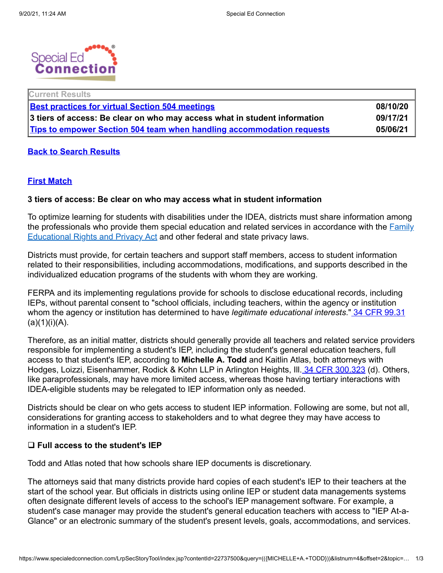

| <b>Current Results</b>                                                       |          |
|------------------------------------------------------------------------------|----------|
| <b>Best practices for virtual Section 504 meetings</b>                       | 08/10/20 |
| 3 tiers of access: Be clear on who may access what in student information    | 09/17/21 |
| <b>Tips to empower Section 504 team when handling accommodation requests</b> | 05/06/21 |

#### **Back to Search [Results](https://www.specialedconnection.com/LrpSecStoryTool/index.jsp?results=yes&listnum=4&chunknum=1&query=%28%28%7BMICHELLE+A.+TODD%7D%29%29&topic=Main)**

### **First [Match](#page-0-0)**

#### **3 tiers of access: Be clear on who may access what in student information**

To optimize learning for students with disabilities under the IDEA, districts must share information among the [professionals](https://www.specialedconnection.com/LrpSecStoryTool/index.jsp?contentId=20&chunkid=893&query=(((%7b1232G%7d))+within+section)+and+(((%7b20+USC%7d))+within+title)&listnum=0&offset=0&topic=Main&chunknum=1#ctx1) who provide them special education and related services in accordance with the **Family** Educational Rights and Privacy Act and other federal and state privacy laws.

Districts must provide, for certain teachers and support staff members, access to student information related to their responsibilities, including accommodations, modifications, and supports described in the individualized education programs of the students with whom they are working.

FERPA and its implementing regulations provide for schools to disclose educational records, including IEPs, without parental consent to "school officials, including teachers, within the agency or institution whom the agency or institution has determined to have *legitimate educational interests*." 34 CFR [99.31](https://www.specialedconnection.com/LrpSecStoryTool/servlet/GetReg?cite=34+CFR+99.31)  $(a)(1)(i)(A)$ .

<span id="page-0-0"></span>Therefore, as an initial matter, districts should generally provide all teachers and related service providers responsible for implementing a student's IEP, including the student's general education teachers, full access to that student's IEP, according to **Michelle A. Todd** and Kaitlin Atlas, both attorneys with Hodges, Loizzi, Eisenhammer, Rodick & Kohn LLP in Arlington Heights, III. 34 CFR [300.323](https://www.specialedconnection.com/LrpSecStoryTool/servlet/GetReg?cite=34+CFR+300.323) (d). Others, like paraprofessionals, may have more limited access, whereas those having tertiary interactions with IDEA-eligible students may be relegated to IEP information only as needed.

Districts should be clear on who gets access to student IEP information. Following are some, but not all, considerations for granting access to stakeholders and to what degree they may have access to information in a student's IEP.

#### q **Full access to the student's IEP**

Todd and Atlas noted that how schools share IEP documents is discretionary.

The attorneys said that many districts provide hard copies of each student's IEP to their teachers at the start of the school year. But officials in districts using online IEP or student data managements systems often designate different levels of access to the school's IEP management software. For example, a student's case manager may provide the student's general education teachers with access to "IEP At-a-Glance" or an electronic summary of the student's present levels, goals, accommodations, and services.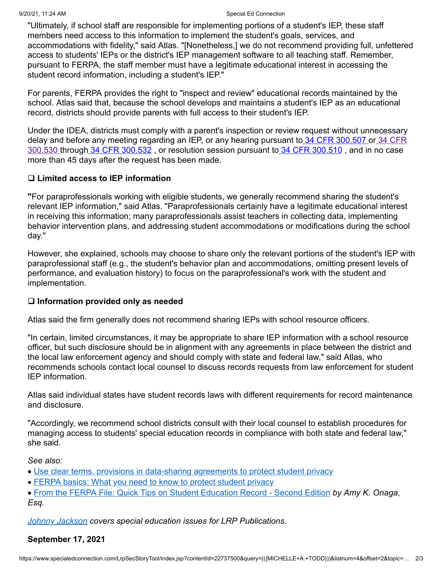"Ultimately, if school staff are responsible for implementing portions of a student's IEP, these staff members need access to this information to implement the student's goals, services, and accommodations with fidelity," said Atlas. "[Nonetheless,] we do not recommend providing full, unfettered access to students' IEPs or the district's IEP management software to all teaching staff. Remember, pursuant to FERPA, the staff member must have a legitimate educational interest in accessing the student record information, including a student's IEP."

For parents, FERPA provides the right to "inspect and review" educational records maintained by the school. Atlas said that, because the school develops and maintains a student's IEP as an educational record, districts should provide parents with full access to their student's IEP.

Under the IDEA, districts must comply with a parent's inspection or review request without unnecessary delay and before any meeting regarding an IEP, or any hearing pursuant to 34 CFR [300.507](https://www.specialedconnection.com/LrpSecStoryTool/servlet/GetReg?cite=34+CFR+300.507) or 34 CFR 300.530 through 34 CFR [300.532](https://www.specialedconnection.com/LrpSecStoryTool/servlet/GetReg?cite=34+CFR+300.532) , or [resolution](https://www.specialedconnection.com/LrpSecStoryTool/servlet/GetReg?cite=34+CFR+300.530) session pursuant to 34 CFR [300.510](https://www.specialedconnection.com/LrpSecStoryTool/servlet/GetReg?cite=34+CFR+300.510) , and in no case more than 45 days after the request has been made.

## q **Limited access to IEP information**

**"**For paraprofessionals working with eligible students, we generally recommend sharing the student's relevant IEP information," said Atlas. "Paraprofessionals certainly have a legitimate educational interest in receiving this information; many paraprofessionals assist teachers in collecting data, implementing behavior intervention plans, and addressing student accommodations or modifications during the school day."

However, she explained, schools may choose to share only the relevant portions of the student's IEP with paraprofessional staff (e.g., the student's behavior plan and accommodations, omitting present levels of performance, and evaluation history) to focus on the paraprofessional's work with the student and implementation.

### q **Information provided only as needed**

Atlas said the firm generally does not recommend sharing IEPs with school resource officers.

"In certain, limited circumstances, it may be appropriate to share IEP information with a school resource officer, but such disclosure should be in alignment with any agreements in place between the district and the local law enforcement agency and should comply with state and federal law," said Atlas, who recommends schools contact local counsel to discuss records requests from law enforcement for student IEP information.

Atlas said individual states have student records laws with different requirements for record maintenance and disclosure.

"Accordingly, we recommend school districts consult with their local counsel to establish procedures for managing access to students' special education records in compliance with both state and federal law," she said.

*See also:*

- · Use clear terms, provisions in [data-sharing](https://www.specialedconnection.com/LrpSecStoryTool/index.jsp?contentId=22729745) agreements to protect student privacy
- FERPA basics: What you need to know to protect [student](https://www.specialedconnection.com/LrpSecStoryTool/index.jsp?contentId=22732177) privacy

· From the FERPA File: Quick Tips on Student [Education](http://www.shoplrp.com/product_p/300175.2ed.htm) Record - Second Edition *by Amy K. Onaga, Esq.*

*Johnny [Jackson](mailto:jjackson@lrp.com) covers special education issues for LRP Publications.*

# **September 17, 2021**